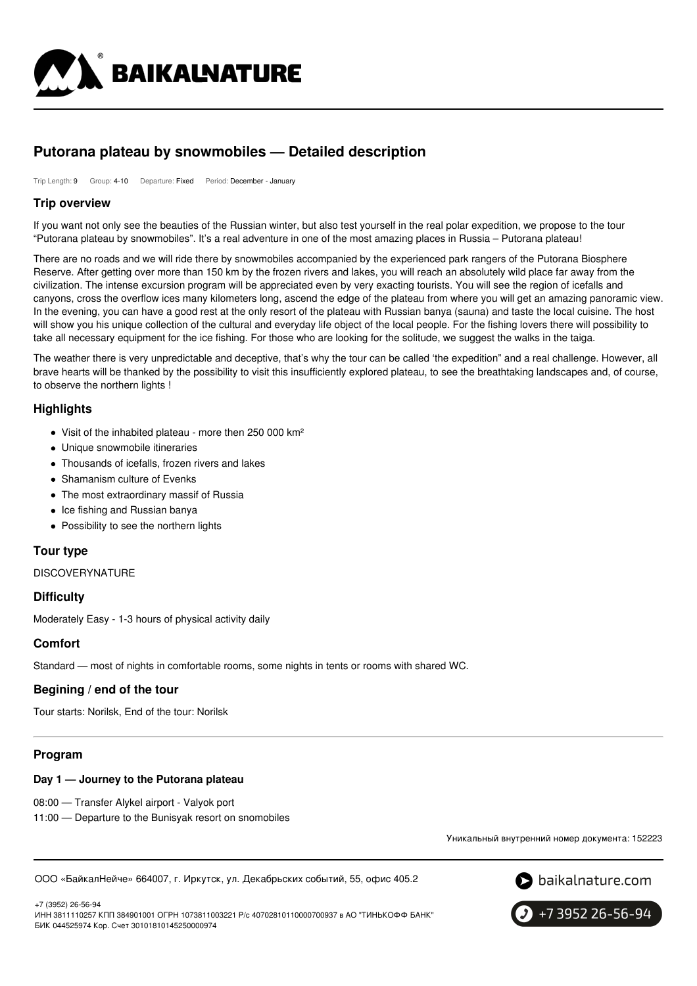

# **Putorana plateau by snowmobiles — Detailed description**

Trip Length: 9 Group: 4-10 Departure: Fixed Period: December - January

### **Trip overview**

If you want not only see the beauties of the Russian winter, but also test yourself in the real polar expedition, we propose to the tour "Putorana plateau by snowmobiles". It's a real adventure in one of the most amazing places in Russia – Putorana plateau!

There are no roads and we will ride there by snowmobiles accompanied by the experienced park rangers of the Putorana Biosphere Reserve. After getting over more than 150 km by the frozen rivers and lakes, you will reach an absolutely wild place far away from the civilization. The intense excursion program will be appreciated even by very exacting tourists. You will see the region of icefalls and canyons, cross the overflow ices many kilometers long, ascend the edge of the plateau from where you will get an amazing panoramic view. In the evening, you can have a good rest at the only resort of the plateau with Russian banya (sauna) and taste the local cuisine. The host will show you his unique collection of the cultural and everyday life object of the local people. For the fishing lovers there will possibility to take all necessary equipment for the ice fishing. For those who are looking for the solitude, we suggest the walks in the taiga.

The weather there is very unpredictable and deceptive, that's why the tour can be called 'the expedition" and a real challenge. However, all brave hearts will be thanked by the possibility to visit this insufficiently explored plateau, to see the breathtaking landscapes and, of course, to observe the northern lights !

# **Highlights**

- Visit of the inhabited plateau more then 250 000 km<sup>2</sup>
- Unique snowmobile itineraries
- Thousands of icefalls, frozen rivers and lakes
- Shamanism culture of Evenks
- The most extraordinary massif of Russia
- Ice fishing and Russian banya
- Possibility to see the northern lights

# **Tour type**

DISCOVERYNATURE

### **Difficulty**

Moderately Easy - 1-3 hours of physical activity daily

### **Comfort**

Standard — most of nights in comfortable rooms, some nights in tents or rooms with shared WC.

### **Begining / end of the tour**

Tour starts: Norilsk, End of the tour: Norilsk

# **Program**

+7 (3952) 26-56-94

### **Day 1 — Journey to the Putorana plateau**

08:00 — Transfer Alykel airport - Valyok port

11:00 — Departure to the Bunisyak resort on snomobiles

Уникальный внутренний номер документа: 152223

ООО «БайкалНейче» 664007, г. Иркутск, ул. Декабрьских событий, 55, офис 405.2



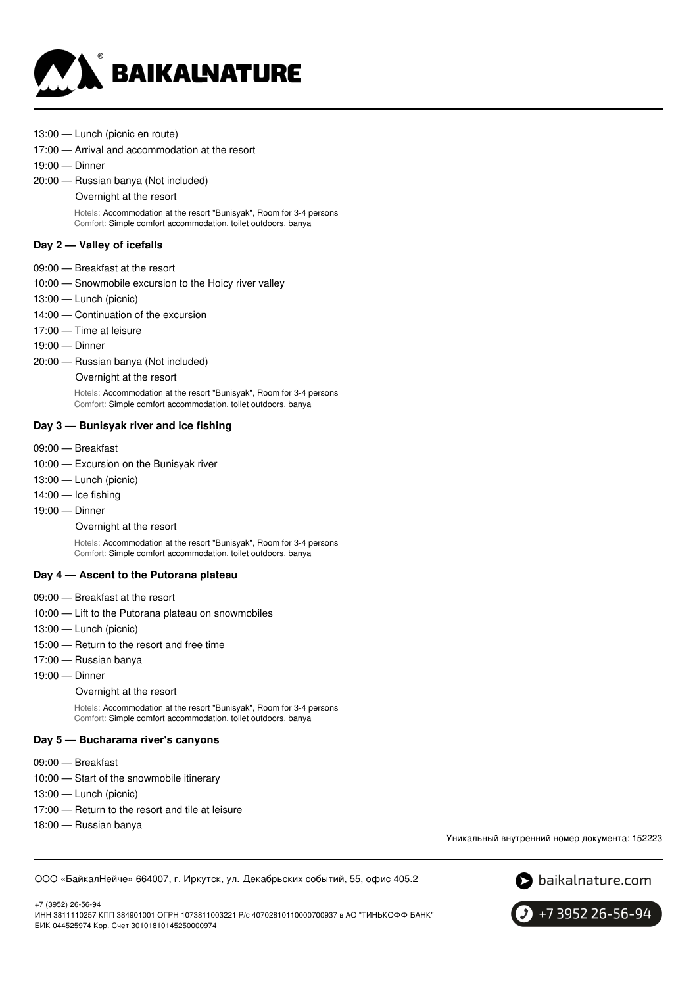

- 13:00 Lunch (picnic en route)
- 17:00 Arrival and accommodation at the resort
- 19:00 Dinner
- 20:00 Russian banya (Not included)
	- Overnight at the resort

Hotels: Accommodation at the resort "Bunisyak", Room for 3-4 persons Comfort: Simple comfort accommodation, toilet outdoors, banya

#### **Day 2 — Valley of icefalls**

- 09:00 Breakfast at the resort
- 10:00 Snowmobile excursion to the Hoicy river valley
- 13:00 Lunch (picnic)
- 14:00 Continuation of the excursion
- 17:00 Time at leisure
- 19:00 Dinner
- 20:00 Russian banya (Not included)

#### Overnight at the resort

Hotels: Accommodation at the resort "Bunisyak", Room for 3-4 persons Comfort: Simple comfort accommodation, toilet outdoors, banya

#### **Day 3 — Bunisyak river and ice fishing**

- 09:00 Breakfast
- 10:00 Excursion on the Bunisyak river
- 13:00 Lunch (picnic)
- 14:00 Ice fishing
- 19:00 Dinner

#### Overnight at the resort

Hotels: Accommodation at the resort "Bunisyak", Room for 3-4 persons Comfort: Simple comfort accommodation, toilet outdoors, banya

#### **Day 4 — Ascent to the Putorana plateau**

- 09:00 Breakfast at the resort
- 10:00 Lift to the Putorana plateau on snowmobiles
- 13:00 Lunch (picnic)
- 15:00 Return to the resort and free time
- 17:00 Russian banya
- 19:00 Dinner

#### Overnight at the resort

Hotels: Accommodation at the resort "Bunisyak", Room for 3-4 persons Comfort: Simple comfort accommodation, toilet outdoors, banya

#### **Day 5 — Bucharama river's canyons**

- 09:00 Breakfast
- 10:00 Start of the snowmobile itinerary
- 13:00 Lunch (picnic)
- 17:00 Return to the resort and tile at leisure
- 18:00 Russian banya

Уникальный внутренний номер документа: 152223

ООО «БайкалНейче» 664007, г. Иркутск, ул. Декабрьских событий, 55, офис 405.2



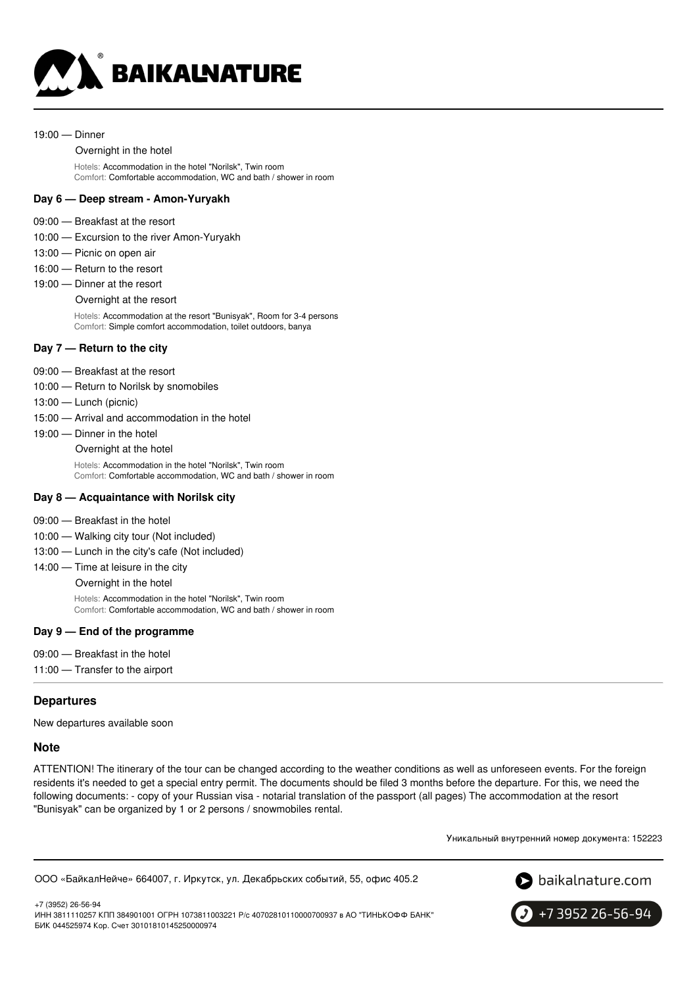

#### 19:00 — Dinner

#### Overnight in the hotel

Hotels: Accommodation in the hotel "Norilsk", Twin room Comfort: Comfortable accommodation, WC and bath / shower in room

#### **Day 6 — Deep stream - Amon-Yuryakh**

- 09:00 Breakfast at the resort
- 10:00 Excursion to the river Amon-Yuryakh
- 13:00 Picnic on open air
- 16:00 Return to the resort
- 19:00 Dinner at the resort
	- Overnight at the resort

Hotels: Accommodation at the resort "Bunisyak", Room for 3-4 persons Comfort: Simple comfort accommodation, toilet outdoors, banya

#### **Day 7 — Return to the city**

- 09:00 Breakfast at the resort
- 10:00 Return to Norilsk by snomobiles
- 13:00 Lunch (picnic)
- 15:00 Arrival and accommodation in the hotel
- 19:00 Dinner in the hotel
	- Overnight at the hotel

Hotels: Accommodation in the hotel "Norilsk", Twin room Comfort: Comfortable accommodation, WC and bath / shower in room

### **Day 8 — Acquaintance with Norilsk city**

- 09:00 Breakfast in the hotel
- 10:00 Walking city tour (Not included)
- 13:00 Lunch in the city's cafe (Not included)
- 14:00 Time at leisure in the city

Overnight in the hotel

Hotels: Accommodation in the hotel "Norilsk", Twin room Comfort: Comfortable accommodation, WC and bath / shower in room

#### **Day 9 — End of the programme**

09:00 — Breakfast in the hotel 11:00 — Transfer to the airport

#### **Departures**

New departures available soon

#### **Note**

ATTENTION! The itinerary of the tour can be changed according to the weather conditions as well as unforeseen events. For the foreign residents it's needed to get a special entry permit. The documents should be filed 3 months before the departure. For this, we need the following documents: - copy of your Russian visa - notarial translation of the passport (all pages) The accommodation at the resort "Bunisyak" can be organized by 1 or 2 persons / snowmobiles rental.

Уникальный внутренний номер документа: 152223

```
ООО «БайкалНейче» 664007, г. Иркутск, ул. Декабрьских событий, 55, офис 405.2
```


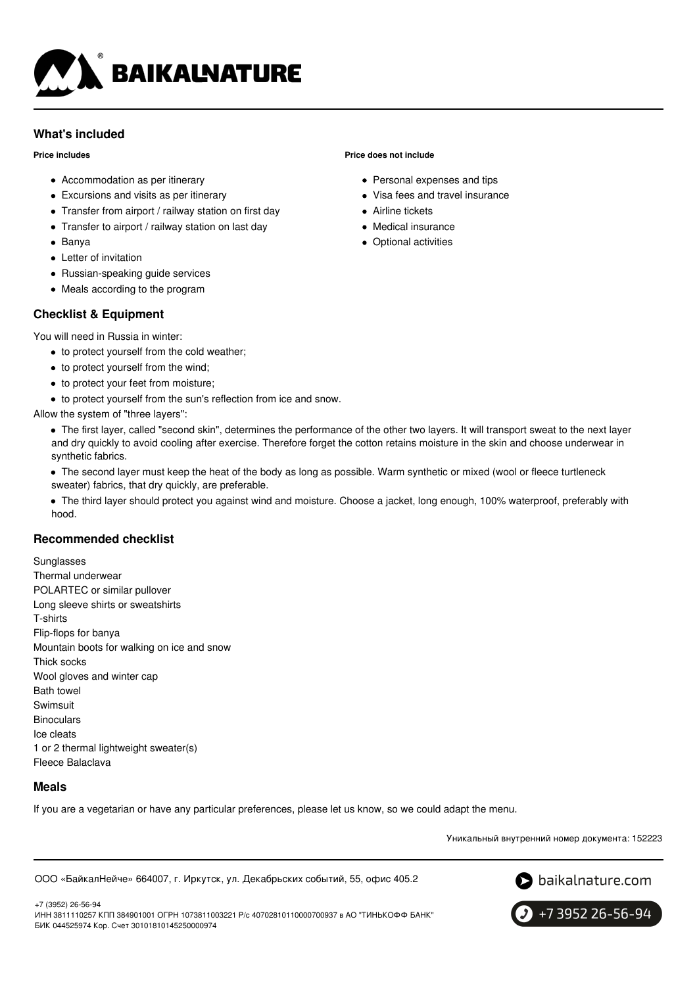

# **What's included**

#### **Price includes**

- Accommodation as per itinerary
- Excursions and visits as per itinerary
- Transfer from airport / railway station on first day
- Transfer to airport / railway station on last day
- Banya
- Letter of invitation
- Russian-speaking quide services
- Meals according to the program

# **Checklist & Equipment**

You will need in Russia in winter:

- to protect yourself from the cold weather;
- to protect yourself from the wind;
- to protect your feet from moisture;
- to protect yourself from the sun's reflection from ice and snow.

Allow the system of "three layers":

- The first layer, called "second skin", determines the performance of the other two layers. It will transport sweat to the next layer and dry quickly to avoid cooling after exercise. Therefore forget the cotton retains moisture in the skin and choose underwear in synthetic fabrics.
- The second layer must keep the heat of the body as long as possible. Warm synthetic or mixed (wool or fleece turtleneck sweater) fabrics, that dry quickly, are preferable.
- The third layer should protect you against wind and moisture. Choose a jacket, long enough, 100% waterproof, preferably with hood.

# **Recommended checklist**

**Sunglasses** Thermal underwear POLARTEC or similar pullover Long sleeve shirts or sweatshirts T-shirts Flip-flops for banya Mountain boots for walking on ice and snow Thick socks Wool gloves and winter cap Bath towel Swimsuit **Binoculars** Ice cleats 1 or 2 thermal lightweight sweater(s) Fleece Balaclava

# **Meals**

If you are a vegetarian or have any particular preferences, please let us know, so we could adapt the menu.

Уникальный внутренний номер документа: 152223

ООО «БайкалНейче» 664007, г. Иркутск, ул. Декабрьских событий, 55, офис 405.2



+7 3952 26-56-94

+7 (3952) 26-56-94 ИНН 3811110257 КПП 384901001 ОГРН 1073811003221 Р/с 40702810110000700937 в АО "ТИНЬКОФФ БАНК" БИК 044525974 Кор. Счет 30101810145250000974

### **Price does not include**

- Personal expenses and tips
- Visa fees and travel insurance
- Airline tickets
- Medical insurance
- Optional activities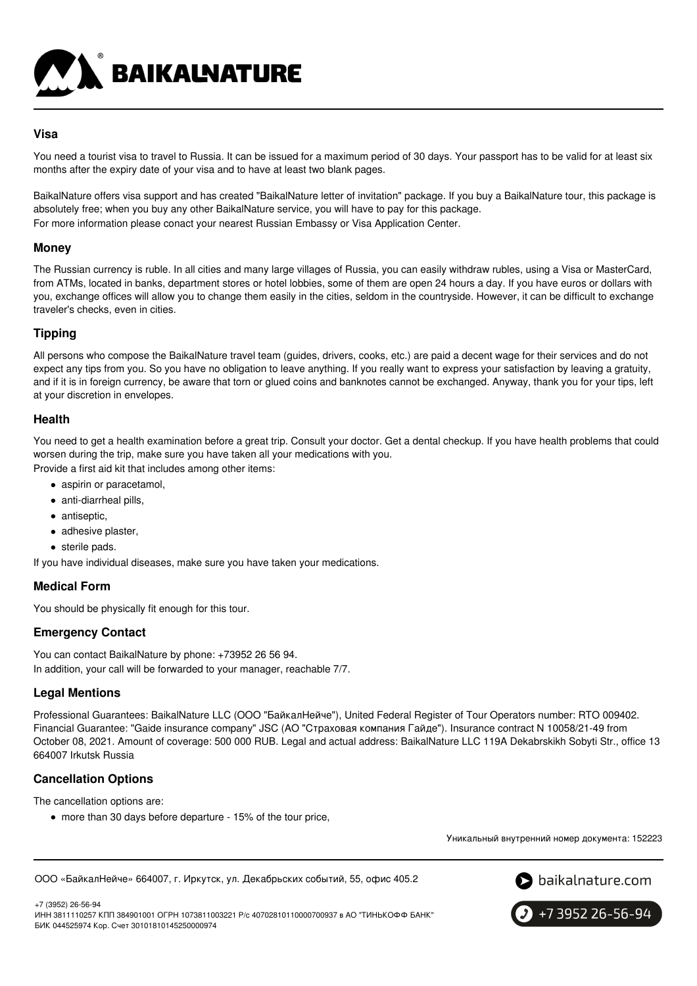

# **Visa**

You need a tourist visa to travel to Russia. It can be issued for a maximum period of 30 days. Your passport has to be valid for at least six months after the expiry date of your visa and to have at least two blank pages.

BaikalNature offers visa support and has created "BaikalNature letter of invitation" package. If you buy a BaikalNature tour, this package is absolutely free; when you buy any other BaikalNature service, you will have to pay for this package. For more information please conact your nearest Russian Embassy or Visa Application Center.

### **Money**

The Russian currency is ruble. In all cities and many large villages of Russia, you can easily withdraw rubles, using a Visa or MasterCard, from ATMs, located in banks, department stores or hotel lobbies, some of them are open 24 hours a day. If you have euros or dollars with you, exchange offices will allow you to change them easily in the cities, seldom in the countryside. However, it can be difficult to exchange traveler's checks, even in cities.

# **Tipping**

All persons who compose the BaikalNature travel team (guides, drivers, cooks, etc.) are paid a decent wage for their services and do not expect any tips from you. So you have no obligation to leave anything. If you really want to express your satisfaction by leaving a gratuity, and if it is in foreign currency, be aware that torn or glued coins and banknotes cannot be exchanged. Anyway, thank you for your tips, left at your discretion in envelopes.

### **Health**

You need to get a health examination before a great trip. Consult your doctor. Get a dental checkup. If you have health problems that could worsen during the trip, make sure you have taken all your medications with you.

Provide a first aid kit that includes among other items:

- aspirin or paracetamol,
- anti-diarrheal pills,
- antiseptic,
- adhesive plaster,
- sterile pads.

If you have individual diseases, make sure you have taken your medications.

# **Medical Form**

You should be physically fit enough for this tour.

# **Emergency Contact**

You can contact BaikalNature by phone: +73952 26 56 94. In addition, your call will be forwarded to your manager, reachable 7/7.

### **Legal Mentions**

Professional Guarantees: BaikalNature LLC (ООО "БайкалНейче"), United Federal Register of Tour Operators number: RTO 009402. Financial Guarantee: "Gaide insurance company" JSC (АО "Страховая компания Гайде"). Insurance contract N 10058/21-49 from October 08, 2021. Amount of coverage: 500 000 RUB. Legal and actual address: BaikalNature LLC 119А Dekabrskikh Sobyti Str., office 13 664007 Irkutsk Russia

# **Cancellation Options**

The cancellation options are:

more than 30 days before departure - 15% of the tour price,

Уникальный внутренний номер документа: 152223

ООО «БайкалНейче» 664007, г. Иркутск, ул. Декабрьских событий, 55, офис 405.2